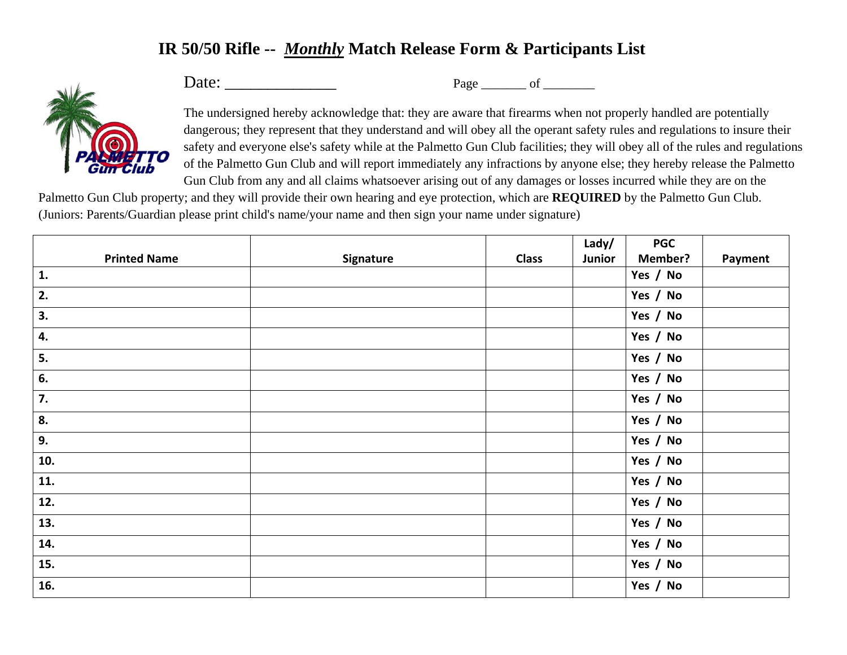## **IR 50/50 Rifle --** *Monthly* **Match Release Form & Participants List**



Date: \_\_\_\_\_\_\_\_\_\_\_\_\_ Page \_\_\_\_\_\_\_ of \_\_\_\_\_\_\_\_

The undersigned hereby acknowledge that: they are aware that firearms when not properly handled are potentially dangerous; they represent that they understand and will obey all the operant safety rules and regulations to insure their safety and everyone else's safety while at the Palmetto Gun Club facilities; they will obey all of the rules and regulations of the Palmetto Gun Club and will report immediately any infractions by anyone else; they hereby release the Palmetto Gun Club from any and all claims whatsoever arising out of any damages or losses incurred while they are on the

Palmetto Gun Club property; and they will provide their own hearing and eye protection, which are **REQUIRED** by the Palmetto Gun Club. (Juniors: Parents/Guardian please print child's name/your name and then sign your name under signature)

|                     |           |              | Lady/  | <b>PGC</b> |         |
|---------------------|-----------|--------------|--------|------------|---------|
| <b>Printed Name</b> | Signature | <b>Class</b> | Junior | Member?    | Payment |
| 1.                  |           |              |        | Yes / No   |         |
| 2.                  |           |              |        | Yes / No   |         |
| 3.                  |           |              |        | Yes / No   |         |
| 4.                  |           |              |        | Yes / No   |         |
| 5.                  |           |              |        | Yes / No   |         |
| 6.                  |           |              |        | Yes / No   |         |
| 7.                  |           |              |        | Yes / No   |         |
| 8.                  |           |              |        | Yes / No   |         |
| 9.                  |           |              |        | Yes / No   |         |
| 10.                 |           |              |        | Yes / No   |         |
| 11.                 |           |              |        | Yes / No   |         |
| 12.                 |           |              |        | Yes / No   |         |
| 13.                 |           |              |        | Yes / No   |         |
| 14.                 |           |              |        | Yes / No   |         |
| 15.                 |           |              |        | Yes / No   |         |
| 16.                 |           |              |        | Yes / No   |         |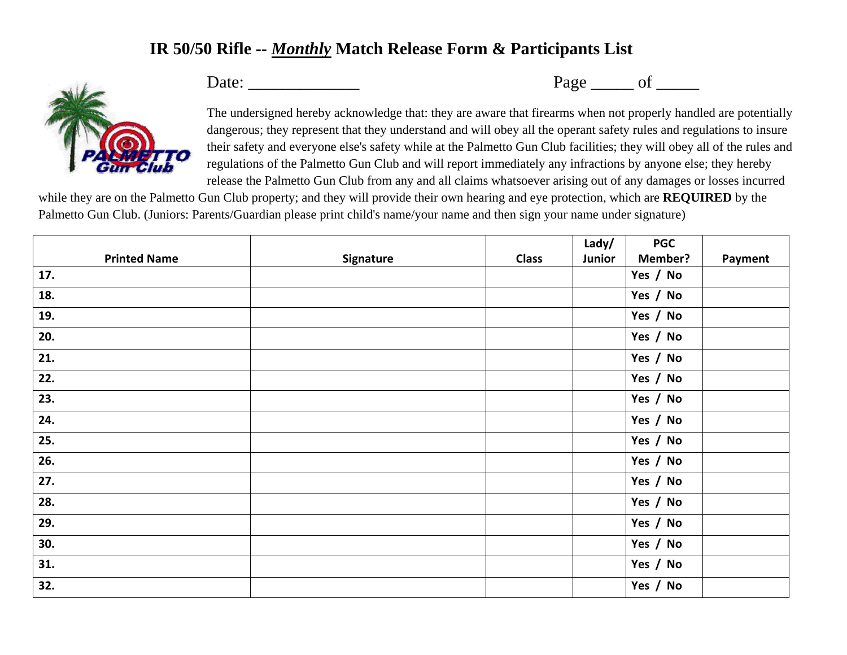## **IR 50/50 Rifle --** *Monthly* **Match Release Form & Participants List**



Date: \_\_\_\_\_\_\_\_\_\_\_\_\_ Page \_\_\_\_\_ of \_\_\_\_\_

The undersigned hereby acknowledge that: they are aware that firearms when not properly handled are potentially dangerous; they represent that they understand and will obey all the operant safety rules and regulations to insure their safety and everyone else's safety while at the Palmetto Gun Club facilities; they will obey all of the rules and regulations of the Palmetto Gun Club and will report immediately any infractions by anyone else; they hereby release the Palmetto Gun Club from any and all claims whatsoever arising out of any damages or losses incurred

while they are on the Palmetto Gun Club property; and they will provide their own hearing and eye protection, which are **REQUIRED** by the Palmetto Gun Club. (Juniors: Parents/Guardian please print child's name/your name and then sign your name under signature)

|                     |           |              | Lady/  | <b>PGC</b>     |         |
|---------------------|-----------|--------------|--------|----------------|---------|
| <b>Printed Name</b> | Signature | <b>Class</b> | Junior | <b>Member?</b> | Payment |
| 17.                 |           |              |        | Yes / No       |         |
| 18.                 |           |              |        | Yes / No       |         |
| 19.                 |           |              |        | Yes / No       |         |
| 20.                 |           |              |        | Yes / No       |         |
| 21.                 |           |              |        | Yes / No       |         |
| 22.                 |           |              |        | Yes / No       |         |
| 23.                 |           |              |        | Yes / No       |         |
| 24.                 |           |              |        | Yes / No       |         |
| 25.                 |           |              |        | Yes / No       |         |
| 26.                 |           |              |        | Yes / No       |         |
| 27.                 |           |              |        | Yes / No       |         |
| 28.                 |           |              |        | Yes / No       |         |
| 29.                 |           |              |        | Yes / No       |         |
| 30.                 |           |              |        | Yes / No       |         |
| 31.                 |           |              |        | Yes / No       |         |
| 32.                 |           |              |        | Yes / No       |         |